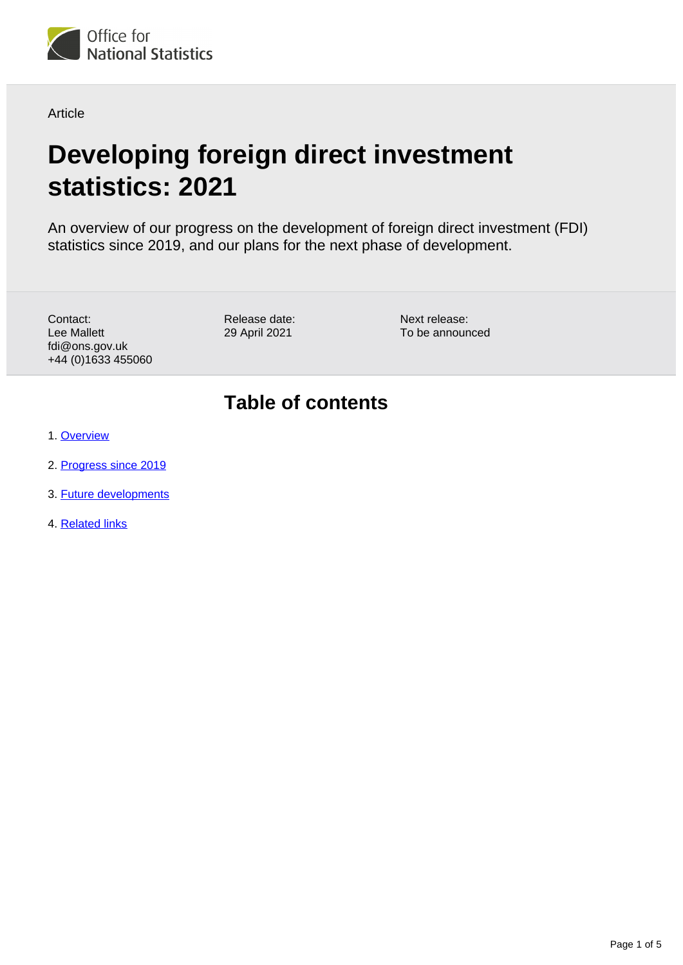

Article

# **Developing foreign direct investment statistics: 2021**

An overview of our progress on the development of foreign direct investment (FDI) statistics since 2019, and our plans for the next phase of development.

Contact: Lee Mallett fdi@ons.gov.uk +44 (0)1633 455060 Release date: 29 April 2021

Next release: To be announced

### **Table of contents**

- 1. [Overview](#page-1-0)
- 2. [Progress since 2019](#page-1-1)
- 3. [Future developments](#page-2-0)
- 4. [Related links](#page-4-0)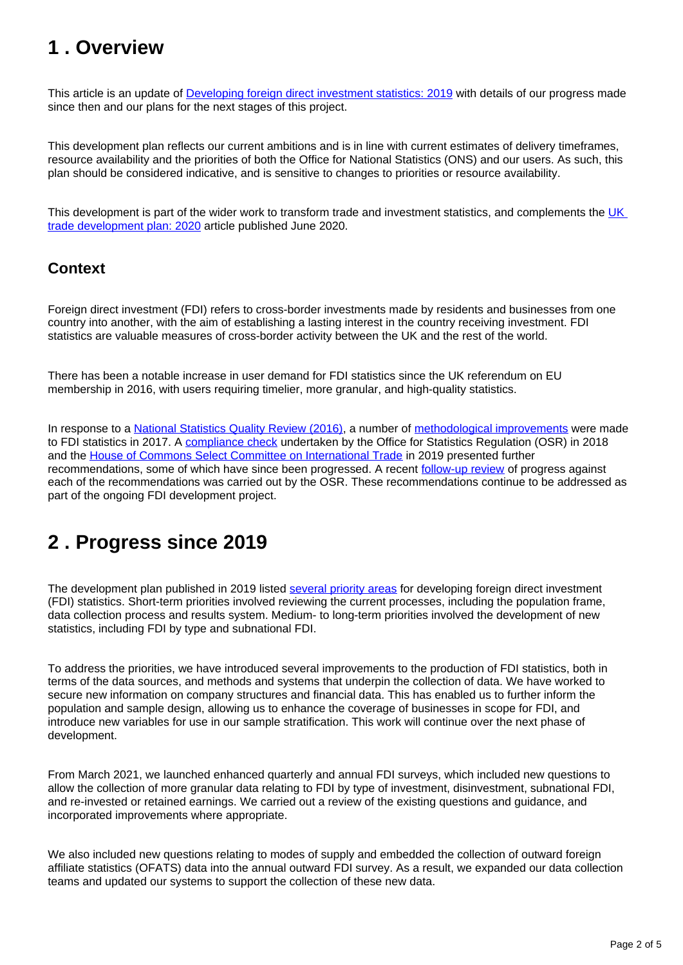### <span id="page-1-0"></span>**1 . Overview**

This article is an update of [Developing foreign direct investment statistics: 2019](https://www.ons.gov.uk/businessindustryandtrade/internationaltrade/articles/developingforeigndirectinvestmentstatistics/2019) with details of our progress made since then and our plans for the next stages of this project.

This development plan reflects our current ambitions and is in line with current estimates of delivery timeframes, resource availability and the priorities of both the Office for National Statistics (ONS) and our users. As such, this plan should be considered indicative, and is sensitive to changes to priorities or resource availability.

This development is part of the wider work to transform trade and investment statistics, and complements the UK [trade development plan: 2020](https://www.ons.gov.uk/businessindustryandtrade/internationaltrade/articles/uktradedevelopmentplan/2020) article published June 2020.

#### **Context**

Foreign direct investment (FDI) refers to cross-border investments made by residents and businesses from one country into another, with the aim of establishing a lasting interest in the country receiving investment. FDI statistics are valuable measures of cross-border activity between the UK and the rest of the world.

There has been a notable increase in user demand for FDI statistics since the UK referendum on EU membership in 2016, with users requiring timelier, more granular, and high-quality statistics.

In response to a [National Statistics Quality Review \(2016\)](https://www.ons.gov.uk/methodology/methodologytopicsandstatisticalconcepts/qualityinofficialstatistics/qualityreviews), a number of [methodological improvements](https://www.ons.gov.uk/economy/nationalaccounts/balanceofpayments/methodologies/methodologicalimprovementstoforeigndirectinvestmentstatisticsnovember2017#fdi-population-improvements) were made to FDI statistics in 2017. A [compliance check](https://osr.statisticsauthority.gov.uk/correspondence/compliance-check-on-foreign-direct-investment-fdi-statistics/) undertaken by the Office for Statistics Regulation (OSR) in 2018 and the [House of Commons Select Committee on International Trade](https://old.parliament.uk/business/committees/committees-a-z/commons-select/international-trade-committee/) in 2019 presented further recommendations, some of which have since been progressed. A recent [follow-up review](https://osr.statisticsauthority.gov.uk/correspondence/mark-pont-to-rob-pike-and-jane-naylor-compliance-check-of-ons-foreign-direct-investment-statistics-and-dit-inward-investment-statistics/) of progress against each of the recommendations was carried out by the OSR. These recommendations continue to be addressed as part of the ongoing FDI development project.

## <span id="page-1-1"></span>**2 . Progress since 2019**

The development plan published in 2019 listed [several priority areas](https://www.ons.gov.uk/businessindustryandtrade/internationaltrade/articles/developingforeigndirectinvestmentstatistics/2019#development-priorities) for developing foreign direct investment (FDI) statistics. Short-term priorities involved reviewing the current processes, including the population frame, data collection process and results system. Medium- to long-term priorities involved the development of new statistics, including FDI by type and subnational FDI.

To address the priorities, we have introduced several improvements to the production of FDI statistics, both in terms of the data sources, and methods and systems that underpin the collection of data. We have worked to secure new information on company structures and financial data. This has enabled us to further inform the population and sample design, allowing us to enhance the coverage of businesses in scope for FDI, and introduce new variables for use in our sample stratification. This work will continue over the next phase of development.

From March 2021, we launched enhanced quarterly and annual FDI surveys, which included new questions to allow the collection of more granular data relating to FDI by type of investment, disinvestment, subnational FDI, and re-invested or retained earnings. We carried out a review of the existing questions and guidance, and incorporated improvements where appropriate.

We also included new questions relating to modes of supply and embedded the collection of outward foreign affiliate statistics (OFATS) data into the annual outward FDI survey. As a result, we expanded our data collection teams and updated our systems to support the collection of these new data.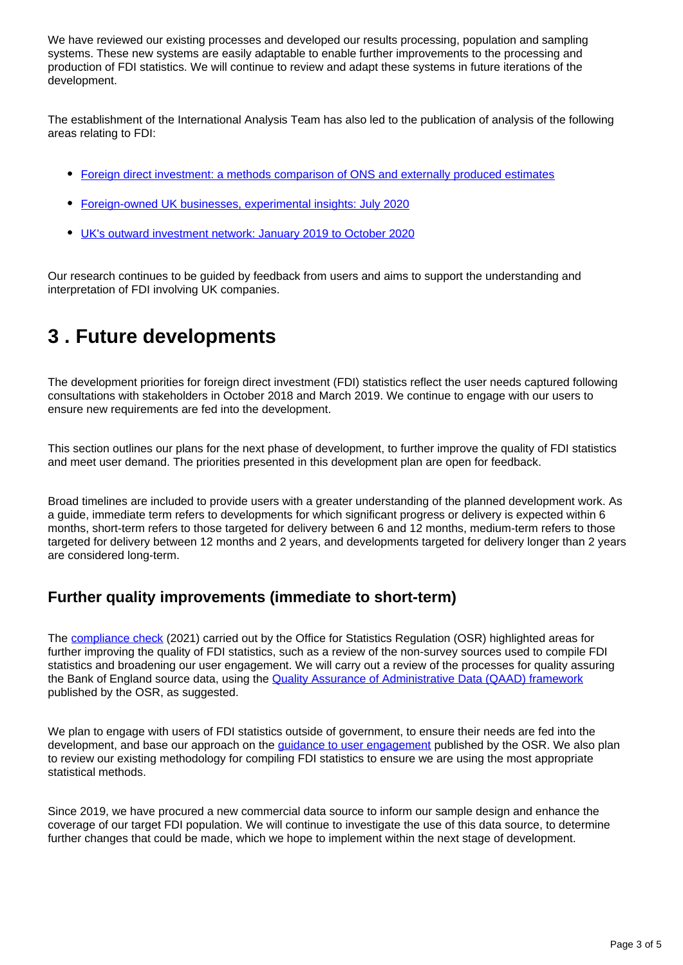We have reviewed our existing processes and developed our results processing, population and sampling systems. These new systems are easily adaptable to enable further improvements to the processing and production of FDI statistics. We will continue to review and adapt these systems in future iterations of the development.

The establishment of the International Analysis Team has also led to the publication of analysis of the following areas relating to FDI:

- [Foreign direct investment: a methods comparison of ONS and externally produced estimates](https://www.ons.gov.uk/economy/nationalaccounts/balanceofpayments/articles/foreigndirectinvestmentamethodscomparisonofonsandexternallyproducedestimates/2020-04-14)
- [Foreign-owned UK businesses, experimental insights: July 2020](https://www.ons.gov.uk/businessindustryandtrade/business/activitysizeandlocation/articles/foreignownedukbusinessesexperimentalinsights/july2020)
- [UK's outward investment network: January 2019 to October 2020](https://www.ons.gov.uk/economy/investmentspensionsandtrusts/articles/uksoutwardinvestmentnetwork/january2019tooctober2020)

Our research continues to be guided by feedback from users and aims to support the understanding and interpretation of FDI involving UK companies.

### <span id="page-2-0"></span>**3 . Future developments**

The development priorities for foreign direct investment (FDI) statistics reflect the user needs captured following consultations with stakeholders in October 2018 and March 2019. We continue to engage with our users to ensure new requirements are fed into the development.

This section outlines our plans for the next phase of development, to further improve the quality of FDI statistics and meet user demand. The priorities presented in this development plan are open for feedback.

Broad timelines are included to provide users with a greater understanding of the planned development work. As a guide, immediate term refers to developments for which significant progress or delivery is expected within 6 months, short-term refers to those targeted for delivery between 6 and 12 months, medium-term refers to those targeted for delivery between 12 months and 2 years, and developments targeted for delivery longer than 2 years are considered long-term.

#### **Further quality improvements (immediate to short-term)**

The [compliance check](https://osr.statisticsauthority.gov.uk/correspondence/mark-pont-to-rob-pike-and-jane-naylor-compliance-check-of-ons-foreign-direct-investment-statistics-and-dit-inward-investment-statistics/) (2021) carried out by the Office for Statistics Regulation (OSR) highlighted areas for further improving the quality of FDI statistics, such as a review of the non-survey sources used to compile FDI statistics and broadening our user engagement. We will carry out a review of the processes for quality assuring the Bank of England source data, using the [Quality Assurance of Administrative Data \(QAAD\) framework](https://osr.statisticsauthority.gov.uk/wp-content/uploads/2019/02/qualityassurancetoolkit_updated_Feb19_2.pdf) published by the OSR, as suggested.

We plan to engage with users of FDI statistics outside of government, to ensure their needs are fed into the development, and base our approach on the *guidance to user engagement* published by the OSR. We also plan to review our existing methodology for compiling FDI statistics to ensure we are using the most appropriate statistical methods.

Since 2019, we have procured a new commercial data source to inform our sample design and enhance the coverage of our target FDI population. We will continue to investigate the use of this data source, to determine further changes that could be made, which we hope to implement within the next stage of development.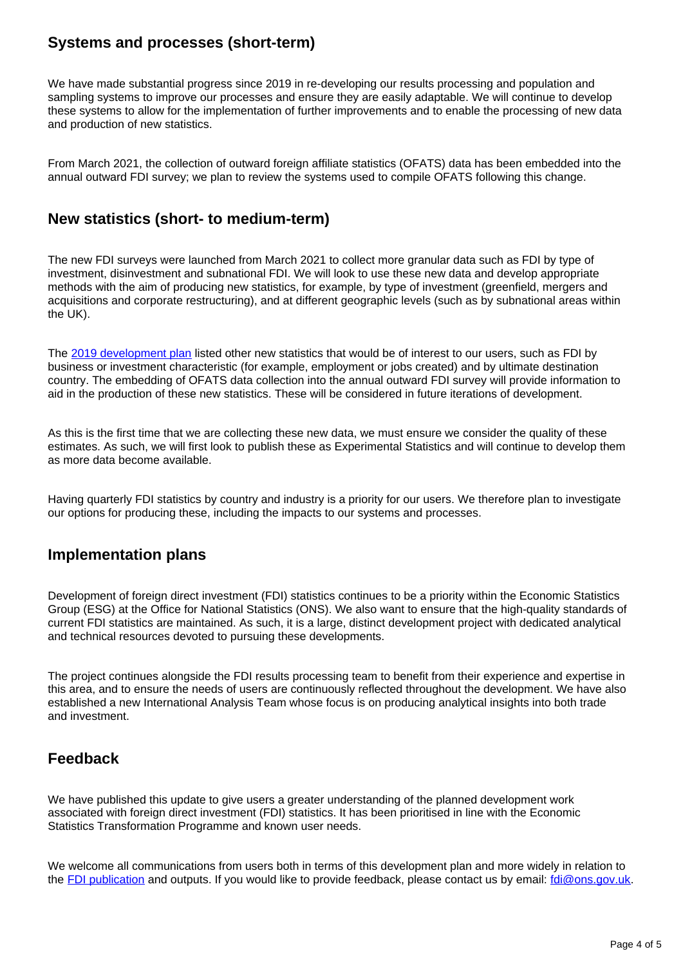### **Systems and processes (short-term)**

We have made substantial progress since 2019 in re-developing our results processing and population and sampling systems to improve our processes and ensure they are easily adaptable. We will continue to develop these systems to allow for the implementation of further improvements and to enable the processing of new data and production of new statistics.

From March 2021, the collection of outward foreign affiliate statistics (OFATS) data has been embedded into the annual outward FDI survey; we plan to review the systems used to compile OFATS following this change.

### **New statistics (short- to medium-term)**

The new FDI surveys were launched from March 2021 to collect more granular data such as FDI by type of investment, disinvestment and subnational FDI. We will look to use these new data and develop appropriate methods with the aim of producing new statistics, for example, by type of investment (greenfield, mergers and acquisitions and corporate restructuring), and at different geographic levels (such as by subnational areas within the UK).

The [2019 development plan](https://www.ons.gov.uk/businessindustryandtrade/internationaltrade/articles/developingforeigndirectinvestmentstatistics/2019#development-priorities) listed other new statistics that would be of interest to our users, such as FDI by business or investment characteristic (for example, employment or jobs created) and by ultimate destination country. The embedding of OFATS data collection into the annual outward FDI survey will provide information to aid in the production of these new statistics. These will be considered in future iterations of development.

As this is the first time that we are collecting these new data, we must ensure we consider the quality of these estimates. As such, we will first look to publish these as Experimental Statistics and will continue to develop them as more data become available.

Having quarterly FDI statistics by country and industry is a priority for our users. We therefore plan to investigate our options for producing these, including the impacts to our systems and processes.

#### **Implementation plans**

Development of foreign direct investment (FDI) statistics continues to be a priority within the Economic Statistics Group (ESG) at the Office for National Statistics (ONS). We also want to ensure that the high-quality standards of current FDI statistics are maintained. As such, it is a large, distinct development project with dedicated analytical and technical resources devoted to pursuing these developments.

The project continues alongside the FDI results processing team to benefit from their experience and expertise in this area, and to ensure the needs of users are continuously reflected throughout the development. We have also established a new International Analysis Team whose focus is on producing analytical insights into both trade and investment.

#### **Feedback**

We have published this update to give users a greater understanding of the planned development work associated with foreign direct investment (FDI) statistics. It has been prioritised in line with the Economic Statistics Transformation Programme and known user needs.

We welcome all communications from users both in terms of this development plan and more widely in relation to the [FDI publication](https://www.ons.gov.uk/economy/nationalaccounts/balanceofpayments/bulletins/foreigndirectinvestmentinvolvingukcompanies/previousReleases) and outputs. If you would like to provide feedback, please contact us by email: *[fdi@ons.gov.uk.](mailto:fdi@ons.gov.uk)*